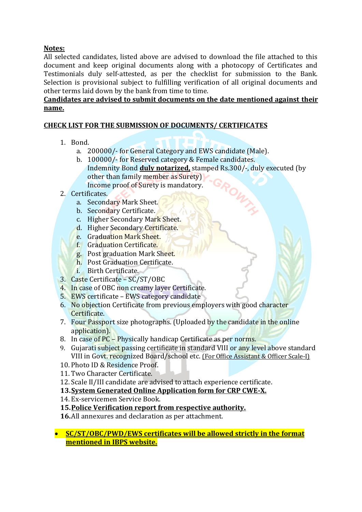# **Notes:**

All selected candidates, listed above are advised to download the file attached to this document and keep original documents along with a photocopy of Certificates and Testimonials duly self-attested, as per the checklist for submission to the Bank. Selection is provisional subject to fulfilling verification of all original documents and other terms laid down by the bank from time to time.

## **Candidates are advised to submit documents on the date mentioned against their name.**

# **CHECK LIST FOR THE SUBMISSION OF DOCUMENTS/ CERTIFICATES**

- 1. Bond.
	- a. 200000/- for General Category and EWS candidate (Male).
	- b. 100000/- for Reserved category & Female candidates. Indemnity Bond **duly notarized,** stamped Rs.300/-, duly executed (by other than family member as Surety) Income proof of Surety is mandatory.
- 2. Certificates.
	- a. Secondary Mark Sheet.
	- b. Secondary Certificate.
	- c. Higher Secondary Mark Sheet.
	- d. Higher Secondary Certificate.
	- e. Graduation Mark Sheet.
	- f. Graduation Certificate.
	- g. Post graduation Mark Sheet.
	- h. Post Graduation Certificate.
	- i. Birth Certificate.
- 3. Caste Certificate SC/ST/OBC
- 4. In case of OBC non creamy layer Certificate.
- 5. EWS certificate EWS category candidate
- 6. No objection Certificate from previous employers with good character Certificate.
- 7. Four Passport size photographs. (Uploaded by the candidate in the online application).
- 8. In case of PC Physically handicap Certificate as per norms.
- 9. Gujarati subject passing certificate in standard VIII or any level above standard VIII in Govt. recognized Board/school etc. (For Office Assistant & Officer Scale-I)
- 10. Photo ID & Residence Proof.
- 11. Two Character Certificate.
- 12.Scale II/III candidate are advised to attach experience certificate.
- **13.System Generated Online Application form for CRP CWE-X.**
- 14. Ex-servicemen Service Book.
- **15.Police Verification report from respective authority.**
- **16.**All annexures and declaration as per attachment.
- **SC/ST/OBC/PWD/EWS certificates will be allowed strictly in the format mentioned in IBPS website.**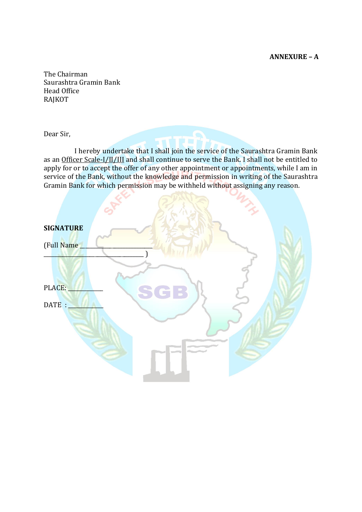**ANNEXURE – A**

The Chairman Saurashtra Gramin Bank Head Office RAJKOT

Dear Sir,

I hereby undertake that I shall join the service of the Saurashtra Gramin Bank as an Officer Scale-I/II/III and shall continue to serve the Bank. I shall not be entitled to apply for or to accept the offer of any other appointment or appointments, while I am in service of the Bank, without the knowledge and permission in writing of the Saurashtra Gramin Bank for which permission may be withheld without assigning any reason.

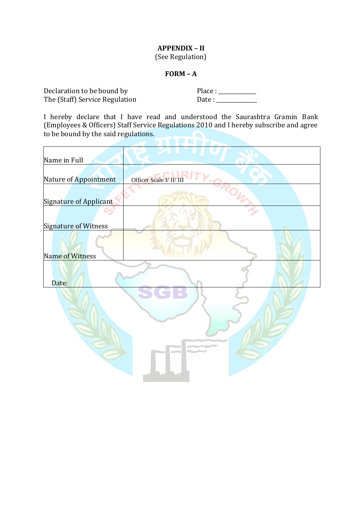# **APPENDIX – II** (See Regulation)

### **FORM – A**

Declaration to be bound by The (Staff) Service Regulation Place : \_\_\_\_\_\_\_\_\_\_\_\_\_\_ Date : \_\_\_\_\_\_\_\_\_\_\_\_\_\_\_

I hereby declare that I have read and understood the Saurashtra Gramin Bank (Employees & Officers) Staff Service Regulations 2010 and I hereby subscribe and agree to be bound by the said regulations.

| Officer Scale I/ II/ III |
|--------------------------|
|                          |
|                          |
|                          |
|                          |
|                          |
|                          |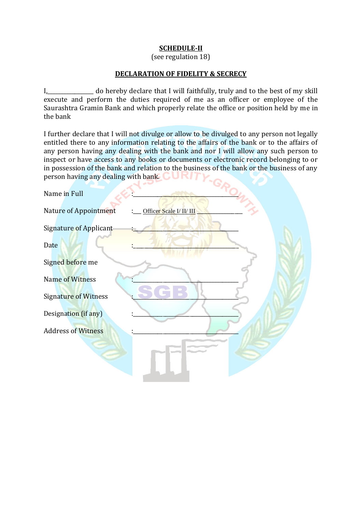### **SCHEDULE-II**

(see regulation 18)

#### **DECLARATION OF FIDELITY & SECRECY**

I,\_\_\_\_\_\_\_\_\_\_\_\_\_\_\_\_\_ do hereby declare that I will faithfully, truly and to the best of my skill execute and perform the duties required of me as an officer or employee of the Saurashtra Gramin Bank and which properly relate the office or position held by me in the bank

I further declare that I will not divulge or allow to be divulged to any person not legally entitled there to any information relating to the affairs of the bank or to the affairs of any person having any dealing with the bank and nor I will allow any such person to inspect or have access to any books or documents or electronic record belonging to or in possession of the bank and relation to the business of the bank or the business of any person having any dealing with bank. person having any dealing with bank.  $\bigcirc$  URIT

 $\sim$ 

| Name in Full                                      |
|---------------------------------------------------|
| Nature of Appointment<br>Officer Scale I/ II/ III |
| <b>Signature of Applicant</b>                     |
| Date                                              |
| Signed before me                                  |
| Name of Witness                                   |
| <b>Signature of Witness</b>                       |
| Designation (if any)                              |
| <b>Address of Witness</b>                         |
|                                                   |
|                                                   |
|                                                   |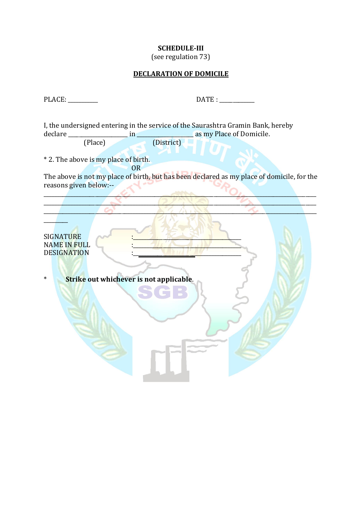### **SCHEDULE-III**

(see regulation 73)

### **DECLARATION OF DOMICILE**

PLACE: \_\_\_\_\_\_\_\_\_\_\_ DATE : \_\_\_\_\_\_\_\_\_\_\_\_\_ I, the undersigned entering in the service of the Saurashtra Gramin Bank, hereby declare \_\_\_\_\_\_\_\_\_\_\_\_\_\_\_\_\_\_\_\_\_\_ in \_\_\_\_\_\_\_\_\_\_\_\_\_\_\_\_\_\_\_\_\_ as my Place of Domicile. (Place) (District) \* 2. The above is my place of birth.

OR The above is not my place of birth, but has been declared as my place of domicile, for the reasons given below:--

 $\mathcal{L} = \mathcal{L} \mathcal{L}$  $\blacksquare$  $\sim$  6  $\sim$  6  $\sim$  6  $\sim$  6  $\sim$  6  $\sim$  6  $\sim$  6  $\sim$  6  $\sim$  6  $\sim$  6  $\sim$  6  $\sim$  6  $\sim$  6  $\sim$  6  $\sim$  6  $\sim$  6  $\sim$  6  $\sim$  6  $\sim$  6  $\sim$  6  $\sim$  6  $\sim$  6  $\sim$  6  $\sim$  6  $\sim$  6  $\sim$  6  $\sim$  6  $\sim$  6  $\sim$  6  $\sim$  6  $\sim$  6  $\sim$ 

SIGNATURE NAME IN FULL DESIGNATION

 $\mathcal{L}$ 

\* **Strike out whichever is not applicable**.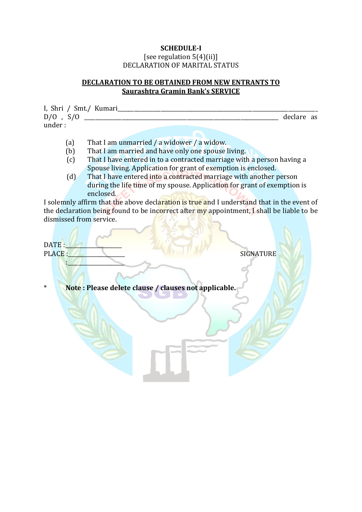### **SCHEDULE-I** [see regulation  $5(4)(ii)$ ] DECLARATION OF MARITAL STATUS

## **DECLARATION TO BE OBTAINED FROM NEW ENTRANTS TO Saurashtra Gramin Bank's SERVICE**

I, Shri / Smt./ Kumari\_\_\_\_\_\_\_\_\_\_\_\_\_\_\_\_\_\_\_\_\_\_\_\_\_\_\_\_\_\_\_\_\_\_\_\_\_\_\_\_\_\_\_\_\_\_\_\_\_\_\_\_\_\_\_\_\_\_\_\_\_\_\_\_\_\_\_\_\_\_\_\_\_\_ D/O , S/O \_\_\_\_\_\_\_\_\_\_\_\_\_\_\_\_\_\_\_\_\_\_\_\_\_\_\_\_\_\_\_\_\_\_\_\_\_\_\_\_\_\_\_\_\_\_\_\_\_\_\_\_\_\_\_\_\_\_\_\_\_\_\_\_\_\_\_\_\_\_\_\_ declare as under :

- (a) That I am unmarried / a widower / a widow.
- (b) That I am married and have only one spouse living.
- (c) That I have entered in to a contracted marriage with a person having a Spouse living. Application for grant of exemption is enclosed.
- (d) That I have entered into a contracted marriage with another person during the life time of my spouse. Application for grant of exemption is enclosed.

I solemnly affirm that the above declaration is true and I understand that in the event of the declaration being found to be incorrect after my appointment, I shall be liable to be dismissed from service.

DATE : PLACE :\_\_\_\_\_\_\_\_\_\_\_\_\_\_\_\_\_\_\_\_\_ SIGNATURE : where  $\mathcal{L}$ 

\* **Note : Please delete clause / clauses not applicable.**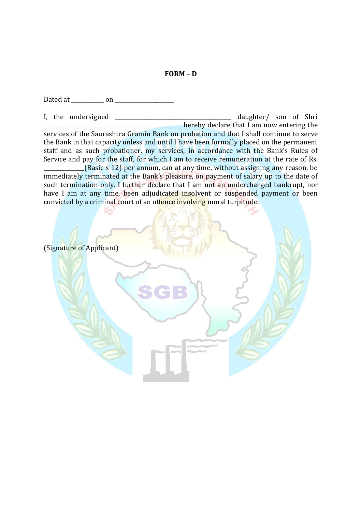#### **FORM – D**

Dated at \_\_\_\_\_\_\_\_\_\_\_\_ on \_\_\_\_\_\_\_\_\_\_\_\_\_\_\_\_\_\_\_\_\_\_

I, the undersigned \_\_\_\_\_\_\_\_\_\_\_\_\_\_\_\_\_\_\_\_\_\_\_\_\_\_\_\_\_\_\_\_\_\_\_\_\_\_\_\_\_\_\_ daughter/ son of Shri  $\blacksquare$  hereby declare that I am now entering the services of the Saurashtra Gramin Bank on probation and that I shall continue to serve the Bank in that capacity unless and until I have been formally placed on the permanent staff and as such probationer, my services, in accordance with the Bank's Rules of Service and pay for the staff, for which I am to receive remuneration at the rate of Rs.  $_{\text{L}}$ (Basic x 12) per annum, can at any time, without assigning any reason, be

immediately terminated at the Bank's pleasure, on payment of salary up to the date of such termination only. I further declare that I am not an undercharged bankrupt, nor have I am at any time, been adjudicated insolvent or suspended payment or been convicted by a criminal court of an offence involving moral turpitude.

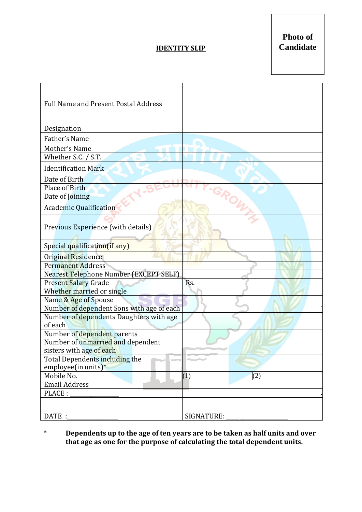# **IDENTITY SLIP**

**Photo of Candidate**

| <b>Full Name and Present Postal Address</b>        |            |
|----------------------------------------------------|------------|
| Designation                                        |            |
| Father's Name                                      |            |
| Mother's Name                                      |            |
| Whether S.C. / S.T.                                |            |
| <b>Identification Mark</b>                         |            |
| Date of Birth                                      |            |
| Place of Birth                                     |            |
| Date of Joining                                    |            |
| <b>Academic Qualification</b>                      |            |
| Previous Experience (with details)                 |            |
| Special qualification(if any)                      |            |
| Original Residence                                 |            |
| <b>Permanent Address</b>                           |            |
| Nearest Telephone Number (EXCEPT SELF)             |            |
| <b>Present Salary Grade</b>                        | Rs.        |
| Whether married or single                          |            |
| Name & Age of Spouse                               |            |
| Number of dependent Sons with age of each          |            |
| Number of dependents Daughters with age<br>of each |            |
| Number of dependent parents                        |            |
| Number of unmarried and dependent                  |            |
| sisters with age of each                           |            |
| Total Dependents including the                     |            |
| employee(in units) $*$                             |            |
| Mobile No.                                         | (2)<br>(1) |
| <b>Email Address</b>                               |            |
| PLACE:                                             |            |
|                                                    |            |
| DATE :                                             | SIGNATURE: |

## \* **Dependents up to the age of ten years are to be taken as half units and over that age as one for the purpose of calculating the total dependent units.**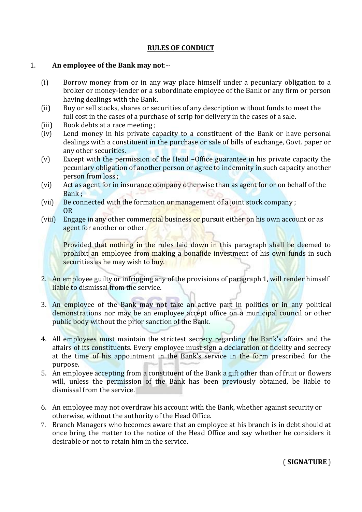## **RULES OF CONDUCT**

### 1. **An employee of the Bank may not**:--

- (i) Borrow money from or in any way place himself under a pecuniary obligation to a broker or money-lender or a subordinate employee of the Bank or any firm or person having dealings with the Bank.
- (ii) Buy or sell stocks, shares or securities of any description without funds to meet the full cost in the cases of a purchase of scrip for delivery in the cases of a sale.
- (iii) Book debts at a race meeting ;
- (iv) Lend money in his private capacity to a constituent of the Bank or have personal dealings with a constituent in the purchase or sale of bills of exchange, Govt. paper or any other securities.
- (v) Except with the permission of the Head –Office guarantee in his private capacity the pecuniary obligation of another person or agree to indemnity in such capacity another person from loss ;
- (vi) Act as agent for in insurance company otherwise than as agent for or on behalf of the Bank ;
- (vii) Be connected with the formation or management of a joint stock company ; OR
- (viii) Engage in any other commercial business or pursuit either on his own account or as agent for another or other.

Provided that nothing in the rules laid down in this paragraph shall be deemed to prohibit an employee from making a bonafide investment of his own funds in such securities as he may wish to buy.

- 2. An employee guilty or infringing any of the provisions of paragraph 1, will render himself liable to dismissal from the service.
- 3. An employee of the Bank may not take an active part in politics or in any political demonstrations nor may be an employee accept office on a municipal council or other public body without the prior sanction of the Bank.
- 4. All employees must maintain the strictest secrecy regarding the Bank's affairs and the affairs of its constituents. Every employee must sign a declaration of fidelity and secrecy at the time of his appointment in the Bank's service in the form prescribed for the purpose.
- 5. An employee accepting from a constituent of the Bank a gift other than of fruit or flowers will, unless the permission of the Bank has been previously obtained, be liable to dismissal from the service.
- 6. An employee may not overdraw his account with the Bank, whether against security or otherwise, without the authority of the Head Office.
- 7. Branch Managers who becomes aware that an employee at his branch is in debt should at once bring the matter to the notice of the Head Office and say whether he considers it desirable or not to retain him in the service.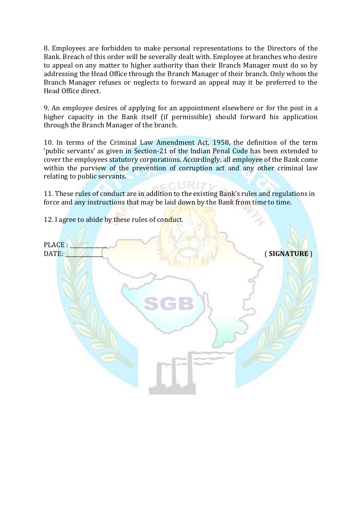8. Employees are forbidden to make personal representations to the Directors of the Bank. Breach of this order will be severally dealt with. Employee at branches who desire to appeal on any matter to higher authority than their Branch Manager must do so by addressing the Head Office through the Branch Manager of their branch. Only whom the Branch Manager refuses or neglects to forward an appeal may it be preferred to the Head Office direct.

9. An employee desires of applying for an appointment elsewhere or for the post in a higher capacity in the Bank itself (if permissible) should forward his application through the Branch Manager of the branch.

10. In terms of the Criminal Law Amendment Act, 1958, the definition of the term 'public servants' as given in Section-21 of the Indian Penal Code has been extended to cover the employees statutory corporations. Accordingly, all employee of the Bank come within the purview of the prevention of corruption act and any other criminal law relating to public servants.

11. These rules of conduct are in addition to the existing Bank's rules and regulations in force and any instructions that may be laid down by the Bank from time to time.

12. I agree to abide by these rules of conduct.

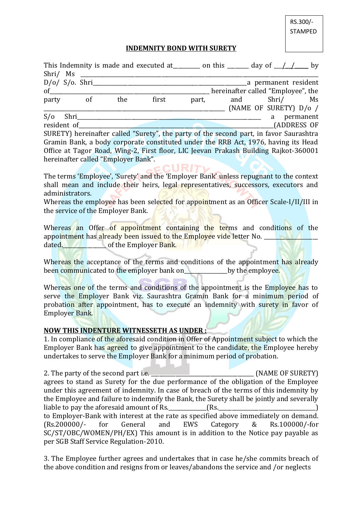RS.300/- **STAMPED** 

### **INDEMNITY BOND WITH SURETY**

|             |                |     |       |       | This Indemnity is made and executed at ________ on this _______ day of $\angle$ / $\angle$ by |          |                      |  |
|-------------|----------------|-----|-------|-------|-----------------------------------------------------------------------------------------------|----------|----------------------|--|
| Shri/ Ms    |                |     |       |       |                                                                                               |          |                      |  |
|             | D/O/ S/O. Shri |     |       |       |                                                                                               |          | a permanent resident |  |
| $\sigma$ of |                |     |       |       | hereinafter called "Employee", the                                                            |          |                      |  |
| party       | of             | the | first | part, | and Shri/ Ms                                                                                  |          |                      |  |
|             |                |     |       |       | (NAME OF SURETY) D/o /                                                                        |          |                      |  |
| $S/O$ Shri  |                |     |       |       |                                                                                               | $\alpha$ | permanent            |  |
| resident of |                |     |       |       |                                                                                               |          | (ADDRESS OF          |  |
|             |                |     |       |       | SURETY) hereinafter called "Surety", the party of the second part, in favor Saurashtra        |          |                      |  |
|             |                |     |       |       | Gramin Bank, a body corporate constituted under the RRB Act, 1976, having its Head            |          |                      |  |
|             |                |     |       |       | Office at Tagor Road, Wing-2, First floor, LIC Jeevan Prakash Building Rajkot-360001          |          |                      |  |

The terms 'Employee', 'Surety' and the 'Employer Bank' unless repugnant to the context shall mean and include their heirs, legal representatives, successors, executors and administrators.

Whereas the employee has been selected for appointment as an Officer Scale-I/II/III in the service of the Employer Bank.

Whereas an Offer of appointment containing the terms and conditions of the appointment has already been issued to the Employee vide letter No. dated. The of the Employer Bank.

Whereas the acceptance of the terms and conditions of the appointment has already been communicated to the employer bank on by the employee.

Whereas one of the terms and conditions of the appointment is the Employee has to serve the Employer Bank viz. Saurashtra Gramin Bank for a minimum period of probation after appointment, has to execute an indemnity with surety in favor of Employer Bank.

#### **NOW THIS INDENTURE WITNESSETH AS UNDER :**

hereinafter called "Employer Bank".

1. In compliance of the aforesaid condition in Offer of Appointment subject to which the Employer Bank has agreed to give appointment to the candidate, the Employee hereby undertakes to serve the Employer Bank for a minimum period of probation.

2. The party of the second part i.e. **2.** The party of the second part i.e. agrees to stand as Surety for the due performance of the obligation of the Employee under this agreement of indemnity. In case of breach of the terms of this indemnity by the Employee and failure to indemnify the Bank, the Surety shall be jointly and severally liable to pay the aforesaid amount of Rs.  $\qquad \qquad$  (Rs. to Employer-Bank with interest at the rate as specified above immediately on demand. (Rs.200000/- for General and EWS Category & Rs.100000/-for SC/ST/OBC/WOMEN/PH/EX) This amount is in addition to the Notice pay payable as per SGB Staff Service Regulation-2010.

3. The Employee further agrees and undertakes that in case he/she commits breach of the above condition and resigns from or leaves/abandons the service and /or neglects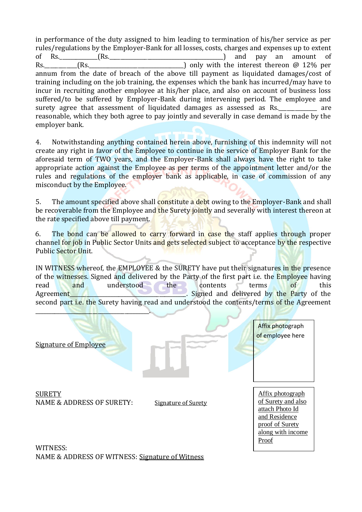in performance of the duty assigned to him leading to termination of his/her service as per rules/regulations by the Employer-Bank for all losses, costs, charges and expenses up to extent of Rs.\_\_\_\_\_\_\_\_\_\_\_\_\_\_(Rs.\_\_\_\_\_\_\_\_\_\_\_\_\_\_\_\_\_\_\_\_\_\_\_\_\_\_\_\_\_\_\_\_\_\_\_\_\_\_\_\_\_\_) and pay an amount of Rs. (Rs. The summary only with the interest thereon @ 12% per annum from the date of breach of the above till payment as liquidated damages/cost of training including on the job training, the expenses which the bank has incurred/may have to incur in recruiting another employee at his/her place, and also on account of business loss suffered/to be suffered by Employer-Bank during intervening period. The employee and surety agree that assessment of liquidated damages as assessed as Rs. \_\_\_\_\_\_\_\_\_\_ are reasonable, which they both agree to pay jointly and severally in case demand is made by the employer bank.

4. Notwithstanding anything contained herein above, furnishing of this indemnity will not create any right in favor of the Employee to continue in the service of Employer Bank for the aforesaid term of TWO years, and the Employer-Bank shall always have the right to take appropriate action against the Employee as per terms of the appointment letter and/or the rules and regulations of the employer bank as applicable, in case of commission of any misconduct by the Employee.

5. The amount specified above shall constitute a debt owing to the Employer-Bank and shall be recoverable from the Employee and the Surety jointly and severally with interest thereon at the rate specified above till payment.

6. The bond can be allowed to carry forward in case the staff applies through proper channel for job in Public Sector Units and gets selected subject to acceptance by the respective Public Sector Unit.

IN WITNESS whereof, the EMPLOYEE & the SURETY have put their signatures in the presence of the witnesses. Signed and delivered by the Party of the first part i.e. the Employee having read and understood the contents terms of this Agreement Signed and delivered by the Party of the second part i.e. the Surety having read and understood the contents/terms of the Agreement



WITNESS: NAME & ADDRESS OF WITNESS: Signature of Witness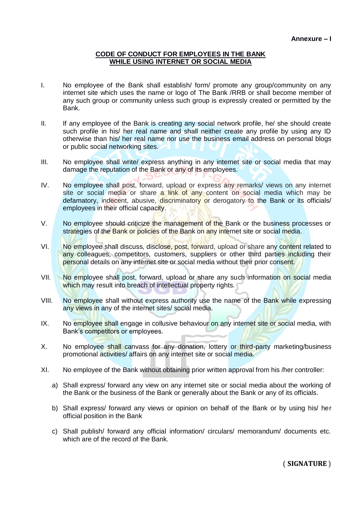#### **CODE OF CONDUCT FOR EMPLOYEES IN THE BANK WHILE USING INTERNET OR SOCIAL MEDIA**

- I. No employee of the Bank shall establish/ form/ promote any group/community on any internet site which uses the name or logo of The Bank /RRB or shall become member of any such group or community unless such group is expressly created or permitted by the Bank.
- II. If any employee of the Bank is creating any social network profile, he/ she should create such profile in his/ her real name and shall neither create any profile by using any ID otherwise than his/ her real name nor use the business email address on personal blogs or public social networking sites.
- III. No employee shall write/ express anything in any internet site or social media that may damage the reputation of the Bank or any of its employees.
- IV. No employee shall post, forward, upload or express any remarks/ views on any internet site or social media or share a link of any content on social media which may be defamatory, indecent, abusive, discriminatory or derogatory to the Bank or its officials/ employees in their official capacity.
- V. No employee should criticize the management of the Bank or the business processes or strategies of the Bank or policies of the Bank on any internet site or social media.
- VI. No employee shall discuss, disclose, post, forward, upload or share any content related to any colleagues, competitors, customers, suppliers or other third parties including their personal details on any internet site or social media without their prior consent.
- VII. No employee shall post, forward, upload or share any such information on social media which may result into breach of intellectual property rights.
- VIII. No employee shall without express authority use the name of the Bank while expressing any views in any of the internet sites/ social media.
- IX. No employee shall engage in collusive behaviour on any internet site or social media, with Bank's competitors or employees.
- X. No employee shall canvass for any donation, lottery or third-party marketing/business promotional activities/ affairs on any internet site or social media.
- XI. No employee of the Bank without obtaining prior written approval from his /her controller:
	- a) Shall express/ forward any view on any internet site or social media about the working of the Bank or the business of the Bank or generally about the Bank or any of its officials.
	- b) Shall express/ forward any views or opinion on behalf of the Bank or by using his/ her official position in the Bank
	- c) Shall publish/ forward any official information/ circulars/ memorandum/ documents etc. which are of the record of the Bank.

( **SIGNATURE** )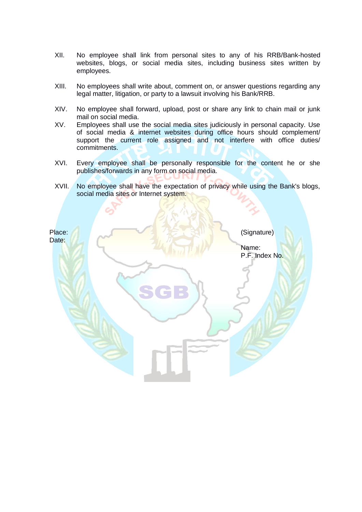- XII. No employee shall link from personal sites to any of his RRB/Bank-hosted websites, blogs, or social media sites, including business sites written by employees.
- XIII. No employees shall write about, comment on, or answer questions regarding any legal matter, litigation, or party to a lawsuit involving his Bank/RRB.
- XIV. No employee shall forward, upload, post or share any link to chain mail or junk mail on social media.
- XV. Employees shall use the social media sites judiciously in personal capacity. Use of social media & internet websites during office hours should complement/ support the current role assigned and not interfere with office duties/ commitments.
- XVI. Every employee shall be personally responsible for the content he or she publishes/forwards in any form on social media.
- XVII. No employee shall have the expectation of privacy while using the Bank's blogs, social media sites or Internet system.

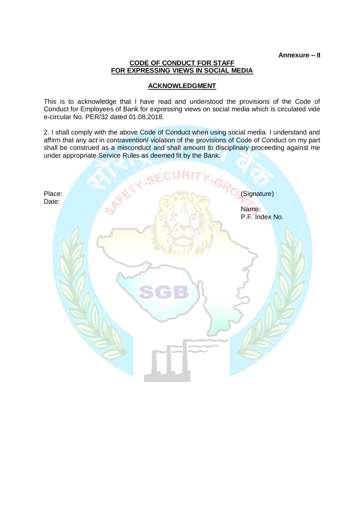**Annexure – II**

#### **CODE OF CONDUCT FOR STAFF FOR EXPRESSING VIEWS IN SOCIAL MEDIA**

### **ACKNOWLEDGMENT**

This is to acknowledge that I have read and understood the provisions of the Code of Conduct for Employees of Bank for expressing views on social media which is circulated vide e-circular No. PER/32 dated 01.08.2018.

2. I shall comply with the above Code of Conduct when using social media. I understand and affirm that any act in contravention/ violation of the provisions of Code of Conduct on my part shall be construed as a misconduct and shall amount to disciplinary proceeding against me under appropriate Service Rules as deemed fit by the Bank.

|                 | <b>V.SECURIT</b> |                                        |
|-----------------|------------------|----------------------------------------|
| Place:<br>Date: | "GR              | (Signature)<br>Name:<br>P.F. Index No. |
|                 |                  |                                        |
|                 | SGB              |                                        |
|                 |                  |                                        |
|                 |                  |                                        |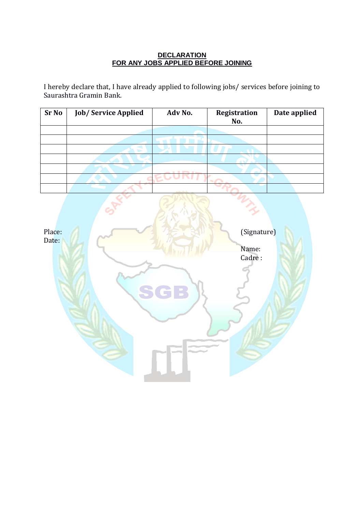### **DECLARATION FOR ANY JOBS APPLIED BEFORE JOINING**

I hereby declare that, I have already applied to following jobs/ services before joining to Saurashtra Gramin Bank.

| <b>Sr No</b> | <b>Job/Service Applied</b> | Adv No.                | Registration<br>No. | Date applied |
|--------------|----------------------------|------------------------|---------------------|--------------|
|              |                            |                        |                     |              |
|              |                            |                        |                     |              |
|              |                            |                        |                     |              |
|              |                            |                        |                     |              |
|              |                            | <b>10 Brown Is and</b> |                     |              |
|              |                            |                        |                     |              |
|              |                            | market the de-         |                     |              |

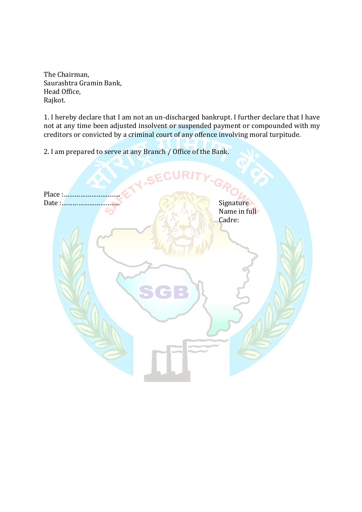The Chairman, Saurashtra Gramin Bank, Head Office, Rajkot.

1. I hereby declare that I am not an un-discharged bankrupt. I further declare that I have not at any time been adjusted insolvent or suspended payment or compounded with my creditors or convicted by a criminal court of any offence involving moral turpitude.

2. I am prepared to serve at any Branch / Office of the Bank.